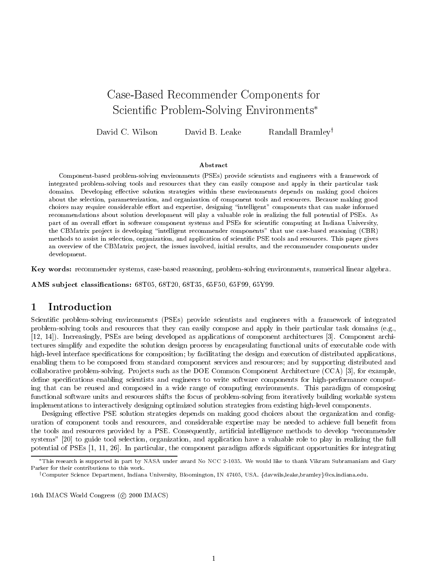# Case-Based Recommender Components for Scientic Problem-Solving Environments

David C. Wilson David B. Leake Randall Bramley<sup>†</sup>

### Abstract

Component-based problem-solving environments (PSEs) provide scientists and engineers with a framework of integrated problem-solving tools and resources that they can easily compose and apply in their particular task domains. Developing effective solution strategies within these environments depends on making good choices about the selection, parameterization, and organization of component tools and resources. Because making good choices may require considerable effort and expertise, designing "intelligent" components that can make informed recommendations about solution development will play a valuable role in realizing the full potential of PSEs. As part of an overall effort in software component systems and PSEs for scientific computing at Indiana University, the CBMatrix project is developing "intelligent recommender components" that use case-based reasoning (CBR) methods to assist in selection, organization, and application of scientic PSE tools and resources. This paper gives an overview of the CBMatrix project, the issues involved, initial results, and the recommender components under development.

Key words: recommender systems, case-based reasoning, problem-solving environments, numerical linear algebra.

AMS subject classifications: 68T05, 68T20, 68T35, 65F50, 65F99, 65Y99.

### 1Introduction

Scientic problem-solving environments (PSEs) provide scientists and engineers with a framework of integrated problem-solving tools and resources that they can easily compose and apply in their particular task domains (e.g., [12, 14]). Increasingly, PSEs are being developed as applications of component architectures [3]. Component architectures simplify and expedite the solution design process by encapsulating functional units of executable code with high-level interface specications for composition; by facilitating the design and execution of distributed applications, enabling them to be composed from standard component services and resources; and by supporting distributed and collaborative problem-solving. Projects such as the DOE Common Component Architecture (CCA) [3], for example, define specifications enabling scientists and engineers to write software components for high-performance computing that can be reused and composed in a wide range of computing environments. This paradigm of composing functional software units and resources shifts the focus of problem-solving from iteratively building workable system implementations to interactively designing optimized solution strategies from existing high-level components.

Designing effective PSE solution strategies depends on making good choices about the organization and configuration of component tools and resources, and considerable expertise may be needed to achieve full benet from the tools and resources provided by a PSE. Consequently, artificial intelligence methods to develop "recommender systems" [20] to guide tool selection, organization, and application have a valuable role to play in realizing the full potential of PSEs [1, 11, 26]. In particular, the component paradigm affords significant opportunities for integrating

16th IMACS World Congress ( $\circ$  2000 IMACS)

This research is supported in part by NASA under award No NCC 2-1035. We would like to thank Vikram Subramaniam and Gary Parker for their contributions to this work.

<sup>+</sup>Computer Science Department, Indiana University, Bloomington, IN 47405, USA. {davwils,leake,bramley}@cs.indiana.edu.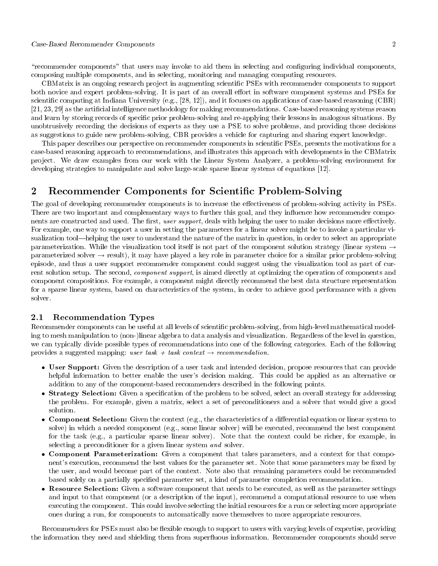### Case-Based Recommender Components 2

"recommender components" that users may invoke to aid them in selecting and configuring individual components, composing multiple components, and in selecting, monitoring and managing computing resources.

CBMatrix is an ongoing research pro ject in augmenting scientic PSEs with recommender components to support both novice and expert problem-solving. It is part of an overall effort in software component systems and PSEs for scientific computing at Indiana University  $(e.g., [28, 12])$ , and it focuses on applications of case-based reasoning  $(CBR)$ [21, 23, 29] as the articial intelligence methodology for making recommendations. Case-based reasoning systems reason and learn by storing records of specific prior problem-solving and re-applying their lessons in analogous situations. By unobtrusively recording the decisions of experts as they use a PSE to solve problems, and providing those decisions as suggestions to guide new problem-solving, CBR provides a vehicle for capturing and sharing expert knowledge.

This paper describes our perspective on recommender components in scientific PSEs, presents the motivations for a case-based reasoning approach to recommendations, and illustrates this approach with developments in the CBMatrix project. We draw examples from our work with the Linear System Analyzer, a problem-solving environment for developing strategies to manipulate and solve large-scale sparse linear systems of equations [12].

### 2Recommender Components for Scientic Problem-Solving

The goal of developing recommender components is to increase the effectiveness of problem-solving activity in PSEs. There are two important and complementary ways to further this goal, and they influence how recommender components are constructed and used. The first, user support, deals with helping the user to make decisions more effectively. For example, one way to support a user in setting the parameters for a linear solver might be to invoke a particular visualization tool—helping the user to understand the nature of the matrix in question, in order to select an appropriate parameterization. While the visualization tool itself is not part of the component solution strategy (linear system  $\rightarrow$ parameterized solver  $\rightarrow$  result), it may have played a key role in parameter choice for a similar prior problem-solving episode, and thus a user support recommender component could suggest using the visualization tool as part of current solution setup. The second, *component support*, is aimed directly at optimizing the operation of components and component compositions. For example, a component might directly recommend the best data structure representation for a sparse linear system, based on characteristics of the system, in order to achieve good performance with a given solver.

# 2.1 Recommendation Types

Recommender components can be useful at all levels of scientic problem-solving, from high-level mathematical modeling to mesh manipulation to (non-)linear algebra to data analysis and visualization. Regardless of the level in question, we can typically divide possible types of recommendations into one of the following categories. Each of the following provides a suggested mapping: user task + task context  $\rightarrow$  recommendation.

- User Support: Given the description of a user task and intended decision, propose resources that provides helpful information to better enable the user's decision making. This could be applied as an alternative or addition to any of the component-based recommenders described in the following points.
- Strategy Selection: Given a specication of the problem to be solved, select an overall strategy for addressing the problem. For example, given a matrix, select a set of preconditioners and a solver that would give a good solution.
- Component Selection: Given the context (e.g., the characteristics of a dierential equation or linear system to solve) in which a needed component (e.g., some linear solver) will be executed, recommend the best component for the task (e.g., a particular sparse linear solver). Note that the context could be richer, for example, in selecting a preconditioner for a given linear system and solver.
- Component Parameterization: Given a component that takes parameters, and a context for that component's execution, recommend the best values for the parameter set. Note that some parameters may be fixed by the user, and would become part of the context. Note also that remaining parameters could be recommended based solely on a partially specied parameter set, a kind of parameter completion recommendation.
- Resource Selection: Given a software component that needs to be executed, as well as the parameter settings and input to that component (or a description of the input), recommend a computational resource to use when executing the component. This could involve selecting the initial resources for a run or selecting more appropriate ones during a run, for components to automatically move themselves to more appropriate resources.

Recommenders for PSEs must also be flexible enough to support to users with varying levels of expertise, providing the information they need and shielding them from superfluous information. Recommender components should serve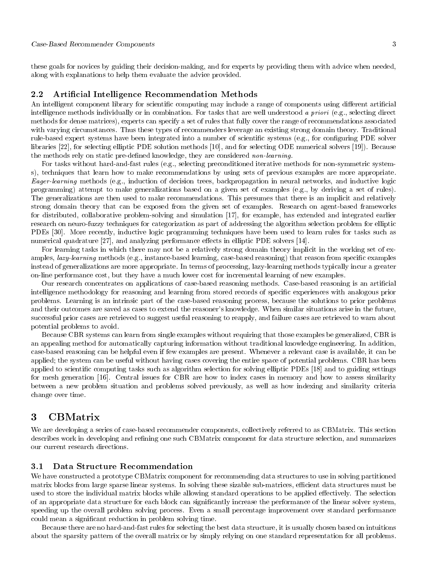these goals for novices by guiding their decision-making, and for experts by providing them with advice when needed, along with explanations to help them evaluate the advice provided.

#### 2.2 Artificial Intelligence Recommendation Methods

An intelligent component library for scientific computing may include a range of components using different artificial intelligence methods individually or in combination. For tasks that are well understood a priori (e.g., selecting direct methods for dense matrices), experts can specify a set of rules that fully cover the range of recommendations associated with varying circumstances. Thus these types of recommenders leverage an existing strong domain theory. Traditional rule-based expert systems have been integrated into a number of scientific systems (e.g., for configuring PDE solver libraries [22], for selecting elliptic PDE solution methods [10], and for selecting ODE numerical solvers [19]). Because the methods rely on static pre-defined knowledge, they are considered non-learning.

For tasks without hard-and-fast rules (e.g., selecting preconditioned iterative methods for non-symmetric systems), techniques that learn how to make recommendations by using sets of previous examples are more appropriate. Eager-learning methods (e.g., induction of decision trees, backpropagation in neural networks, and inductive logic programming) attempt to make generalizations based on a given set of examples (e.g., by deriving a set of rules). The generalizations are then used to make recommendations. This presumes that there is an implicit and relatively strong domain theory that can be exposed from the given set of examples. Research on agent-based frameworks for distributed, collaborative problem-solving and simulation [17], for example, has extended and integrated earlier research on neuro-fuzzy techniques for categorization as part of addressing the algorithm selection problem for elliptic PDEs [30]. More recently, inductive logic programming techniques have been used to learn rules for tasks such as numerical quadrature [27], and analyzing performance effects in elliptic PDE solvers [14].

For learning tasks in which there may not be a relatively strong domain theory implicit in the working set of examples, *lazy-learning* methods (e.g., instance-based learning, case-based reasoning) that reason from specific examples instead of generalizations are more appropriate. In terms of processing, lazy-learning methods typically incur a greater on-line performance cost, but they haveamuch lower cost for incremental learning of new examples.

Our research concentrates on applications of case-based reasoning methods. Case-based reasoning is an articial intelligence methodology for reasoning and learning from stored records of specific experiences with analogous prior problems. Learning is an intrinsic part of the case-based reasoning process, because the solutions to prior problems and their outcomes are saved as cases to extend the reasoner's knowledge. When similar situations arise in the future, successful prior cases are retrieved to suggest useful reasoning to reapply, and failure cases are retrieved to warn about potential problems to avoid.

Because CBR systems can learn from single examples without requiring that those examples be generalized, CBR is an appealing method for automatically capturing information without traditional knowledge engineering. In addition, case-based reasoning can be helpful even if few examples are present. Whenever a relevant case is available, it can be applied; the system can be useful without having cases covering the entire space of potential problems. CBR has been applied to scientic computing tasks such as algorithm selection for solving elliptic PDEs [18] and to guiding settings for mesh generation [16]. Central issues for CBR are how to index cases in memory and how to assess similarity between a new problem situation and problems solved previously, as well as how indexing and similarity criteria change over time.

#### 3 CBMatrix  $\overline{\phantom{a}}$

We are developing a series of case-based recommender components, collectively referred to as CBMatrix. This section describes work in developing and refining one such CBMatrix component for data structure selection, and summarizes our current research directions.

### 3.1 Data Structure Recommendation

We have constructed a prototype CBMatrix component for recommending data structures to use in solving partitioned matrix blocks from large sparse linear systems. In solving these sizable sub-matrices, efficient data structures must be used to store the individual matrix blocks while allowing standard operations to be applied effectively. The selection of an appropriate data structure for each block can signicantly increase the performance of the linear solver system, speeding up the overall problem solving process. Even a small percentage improvement over standard performance could mean a signicant reduction in problem solving time.

Because there are no hard-and-fast rules for selecting the best data structure, it is usually chosen based on intuitions about the sparsity pattern of the overall matrix or by simply relying on one standard representation for all problems.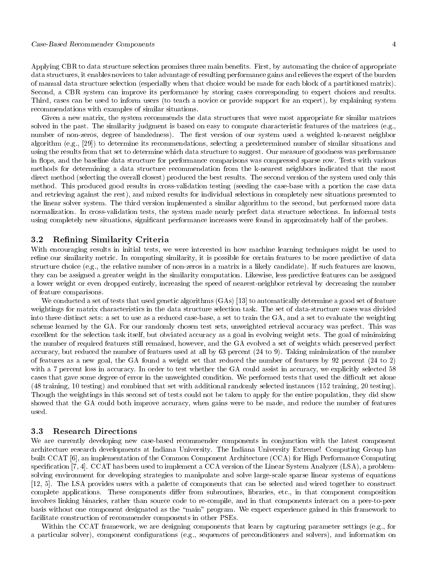### Case-Based Recommender Components 4

Applying CBR to data structure selection promises three main benets. First, by automating the choice of appropriate data structures, it enables novices to take advantage of resulting performance gains and relieves the expert of the burden of manual data structure selection (especially when that choice would be made for each block of a partitioned matrix). Second, a CBR system can improve its performance by storing cases corresponding to expert choices and results. Third, cases can be used to inform users (to teach a novice or provide support for an expert), by explaining system recommendations with examples of similar situations.

Given a new matrix, the system recommends the data structures that were most appropriate for similar matrices solved in the past. The similarity judgment is based on easy to compute characteristic features of the matrices (e.g., number of non-zeros, degree of bandedness). The first version of our system used a weighted k-nearest neighbor algorithm (e.g., [29]) to determine its recommendations, selecting a predetermined number of similar situations and using the results from that set to determine which data structure to suggest. Our measure of goodness was performance in flops, and the baseline data structure for performance comparisons was compressed sparse row. Tests with various methods for determining a data structure recommendation from the k-nearest neighbors indicated that the most direct method (selecting the overall closest) produced the best results. The second version of the system used only this method. This produced good results in cross-validation testing (seeding the case-base with a portion the case data and retrieving against the rest), and mixed results for individual selections in completely new situations presented to the linear solver system. The third version implemented a similar algorithm to the second, but performed more data normalization. In cross-validation tests, the system made nearly perfect data structure selections. In informal tests using completely new situations, signicant performance increases were found in approximately half of the probes.

## 3.2 Refining Similarity Criteria

With encouraging results in initial tests, we were interested in how machine learning techniques might be used to refine our similarity metric. In computing similarity, it is possible for certain features to be more predictive of data structure choice (e.g., the relative number of non-zeros in a matrix is a likely candidate). If such features are known, they can be assigned a greater weight in the similarity computation. Likewise, less predictive features can be assigned a lower weight or even dropped entirely, increasing the speed of nearest-neighbor retrieval by decreasing the number of feature comparisons.

We conducted a set of tests that used genetic algorithms (GAs) [13] to automatically determine a good set of feature weightings for matrix characteristics in the data structure selection task. The set of data-structure cases was divided into three distinct sets: a set to use as a reduced case-base, a set to train the GA, and a set to evaluate the weighting scheme learned by the GA. For our randomly chosen test sets, unweighted retrieval accuracy was perfect. This was excellent for the selection task itself, but obviated accuracy as a goal in evolving weight sets. The goal of minimizing the number of required features still remained, however, and the GA evolved a set of weights which preserved perfect accuracy, but reduced the number of features used at all by 63 percent (24 to 9). Taking minimization of the number of features as a new goal, the GA found a weight set that reduced the number of features by 92 percent (24 to 2) with a 7 percent loss in accuracy. In order to test whether the GA could assist in accuracy, we explicitly selected 58 cases that gave some degree of error in the unweighted condition. We performed tests that used the difficult set alone (48 training, 10 testing) and combined that set with additional randomly selected instances (152 training, 20 testing). Though the weightings in this second set of tests could not be taken to apply for the entire population, they did show showed that the GA could both improve accuracy, when gains were to be made, and reduce the number of features used.

## 3.3 Research Directions

We are currently developing new case-based recommender components in conjunction with the latest component architecture research developments at Indiana University. The Indiana University Extreme! Computing Group has built CCAT [6], an implementation of the Common Component Architecture (CCA) for High Performance Computing specification [7, 4]. CCAT has been used to implement a CCA version of the Linear System Analyzer (LSA), a problemsolving environment for developing strategies to manipulate and solve large-scale sparse linear systems of equations [12, 5]. The LSA provides users with a palette of components that can be selected and wired together to construct complete applications. These components differ from subroutines, libraries, etc., in that component composition involves linking binaries, rather than source code to re-compile, and in that components interact on a peer-to-peer basis without one component designated as the \main" program. We expect experience gained in this framework to facilitate construction of recommender components in other PSEs.

Within the CCAT framework, we are designing components that learn by capturing parameter settings (e.g., for a particular solver), component congurations (e.g., sequences of preconditioners and solvers), and information on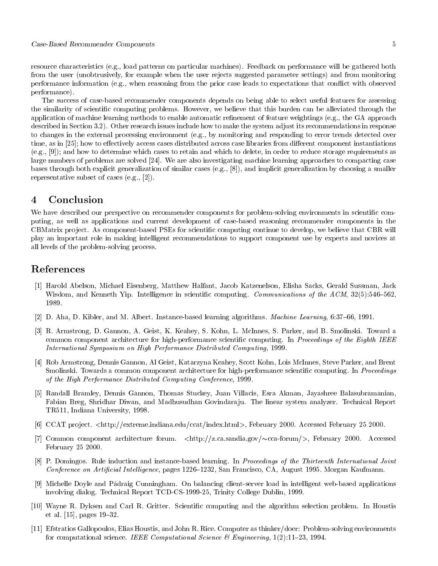resource characteristics (e.g., load patterns on particular machines). Feedback on performance will be gathered both from the user (unobtrusively, for example when the user rejects suggested parameter settings) and from monitoring performance information (e.g., when reasoning from the prior case leads to expectations that con
ict with observed performance).

The success of case-based recommender components depends on being able to select useful features for assessing the similarity of scientic computing problems. However, we believe that this burden can be alleviated through the application of machine learning methods to enable automatic refinement of feature weightings (e.g., the  $GA$  approach described in Section 3.2). Other research issues include how to make the system adjust its recommendations in response to changes in the external processing environment (e.g., by monitoring and responding to error trends detected over time, as in  $[25]$ ; how to effectively access cases distributed across case libraries from different component instantiations (e.g., [9]); and how to determine which cases to retain and which to delete, in order to reduce storage requirements as large numbers of problems are solved [24]. We are also investigating machine learning approaches to compacting case bases through both explicit generalization of similar cases (e.g., [8]), and implicit generalization by choosing a smaller representative subset of cases (e.g., [2]).

### 4Conclusion

We have described our perspective on recommender components for problem-solving environments in scientific computing, as well as applications and current development of case-based reasoning recommender components in the CBMatrix pro ject. As component-based PSEs for scientic computing continue to develop, we believe that CBR will play an important role in making intelligent recommendations to support component use by experts and novices at all levels of the problem-solving process.

# References

- [1] Harold Abelson, Michael Eisenberg, Matthew Halfant, Jacob Katzenelson, Elisha Sacks, Gerald Sussman, Jack Wisdom, and Kenneth Yip. Intelligence in scientific computing. *Communications of the ACM*,  $32(5):546{-}562$ , 1989.
- [2] D. Aha, D. Kibler, and M. Albert. Instance-based learning algorithms. *Machine Learning*, 6:37-66, 1991.
- [3] R. Armstrong, D. Gannon, A. Geist, K. Keahey, S. Kohn, L. McInnes, S. Parker, and B. Smolinski. Toward a common component architecture for high-performance scientific computing. In Proceedings of the Eighth IEEE International Symposium on High Performance Distributed Computing, 1999.
- [4] Rob Armstrong, Dennis Gannon, Al Geist, Katarzyna Keahey, Scott Kohn, Lois McInnes, Steve Parker, and Brent Smolinski. Towards a common component architecture for high-performance scientific computing. In *Proceedings* of the High Performance Distributed Computing Conference, 1999.
- [5] Randall Bramley, Dennis Gannon, Thomas Stuckey, Juan Villacis, Esra Akman, Jayashree Balasubramanian, Fabian Breg, Shridhar Diwan, and Madhusudhan Govindara ju. The linear system analyzer. Technical Report TR511, Indiana University, 1998.
- [6] CCAT pro ject. <http://extreme.indiana.edu/ccat/index.html>, February 2000. Accessed February 25 2000.
- [7] Common component architecture forum.  $\langle \text{http://z.ca.sandia.gov/\sim cca-form/}\rangle$ , February 2000. Accessed February 25 2000.
- [8] P. Domingos. Rule induction and instance-based learning. In Proceedings of the Thirteenth International Joint Conference on Artificial Intelligence, pages 1226–1232, San Francisco, CA, August 1995. Morgan Kaufmann.
- [9] Michelle Doyle and Padraig Cunningham. On balancing client-server load in intelligent web-based applications involving dialog. Technical Report TCD-CS-1999-25, Trinity College Dublin, 1999.
- [10] Wayne R. Dyksen and Carl R. Gritter. Scientic computing and the algorithm selection problem. In Houstis et al.  $[15]$ , pages  $19{-}32$ .
- [11] Efstratios Gallopoulos, Elias Houstis, and John R. Rice. Computer as thinker/doer: Problem-solving environments for computational science. IEEE Computational Science & Engineering,  $1(2):11-23$ , 1994.